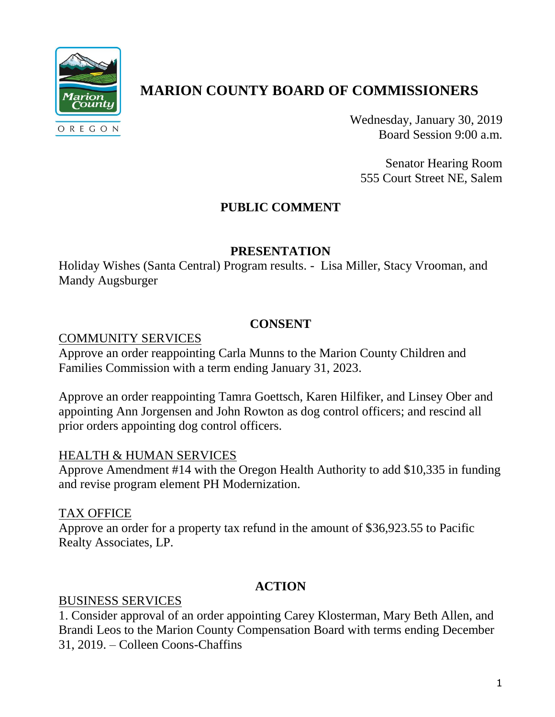

# **MARION COUNTY BOARD OF COMMISSIONERS**

Wednesday, January 30, 2019 Board Session 9:00 a.m.

Senator Hearing Room 555 Court Street NE, Salem

# **PUBLIC COMMENT**

#### **PRESENTATION**

Holiday Wishes (Santa Central) Program results. - Lisa Miller, Stacy Vrooman, and Mandy Augsburger

## **CONSENT**

#### COMMUNITY SERVICES

Approve an order reappointing Carla Munns to the Marion County Children and Families Commission with a term ending January 31, 2023.

Approve an order reappointing Tamra Goettsch, Karen Hilfiker, and Linsey Ober and appointing Ann Jorgensen and John Rowton as dog control officers; and rescind all prior orders appointing dog control officers.

#### HEALTH & HUMAN SERVICES

Approve Amendment #14 with the Oregon Health Authority to add \$10,335 in funding and revise program element PH Modernization.

## TAX OFFICE

Approve an order for a property tax refund in the amount of \$36,923.55 to Pacific Realty Associates, LP.

## **ACTION**

## BUSINESS SERVICES

1. Consider approval of an order appointing Carey Klosterman, Mary Beth Allen, and Brandi Leos to the Marion County Compensation Board with terms ending December 31, 2019. – Colleen Coons-Chaffins